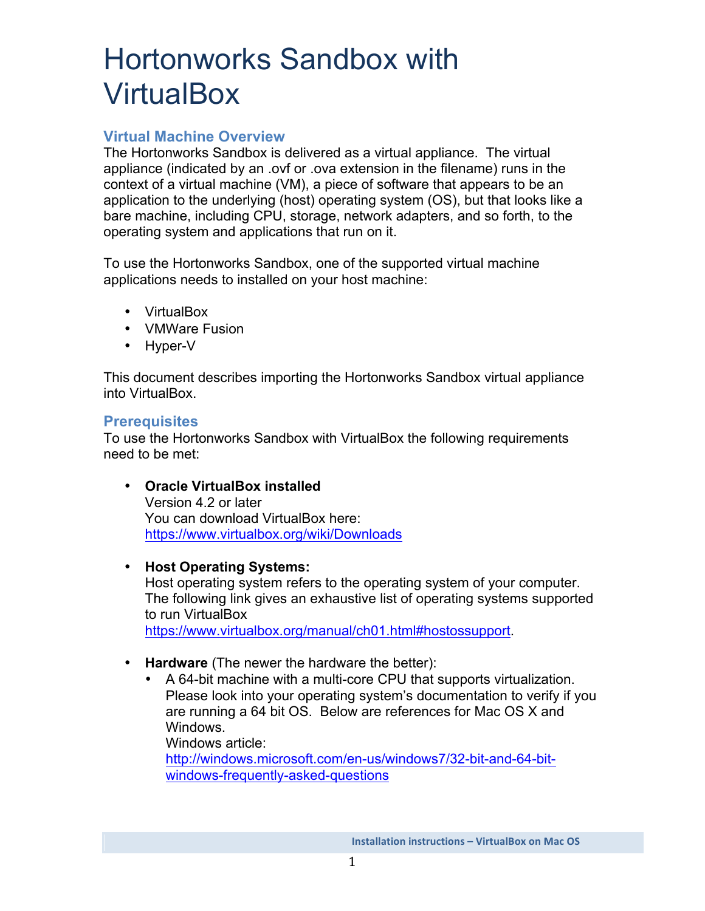# Hortonworks Sandbox with **VirtualBox**

# **Virtual Machine Overview**

The Hortonworks Sandbox is delivered as a virtual appliance. The virtual appliance (indicated by an .ovf or .ova extension in the filename) runs in the context of a virtual machine (VM), a piece of software that appears to be an application to the underlying (host) operating system (OS), but that looks like a bare machine, including CPU, storage, network adapters, and so forth, to the operating system and applications that run on it.

To use the Hortonworks Sandbox, one of the supported virtual machine applications needs to installed on your host machine:

- VirtualBox
- VMWare Fusion
- Hyper-V

This document describes importing the Hortonworks Sandbox virtual appliance into VirtualBox.

## **Prerequisites**

To use the Hortonworks Sandbox with VirtualBox the following requirements need to be met:

- **Oracle VirtualBox installed**  Version 4.2 or later You can download VirtualBox here: https://www.virtualbox.org/wiki/Downloads
- **Host Operating Systems:**

Host operating system refers to the operating system of your computer. The following link gives an exhaustive list of operating systems supported to run VirtualBox

https://www.virtualbox.org/manual/ch01.html#hostossupport.

- **Hardware** (The newer the hardware the better):
	- A 64-bit machine with a multi-core CPU that supports virtualization. Please look into your operating system's documentation to verify if you are running a 64 bit OS. Below are references for Mac OS X and Windows.

Windows article:

http://windows.microsoft.com/en-us/windows7/32-bit-and-64-bitwindows-frequently-asked-questions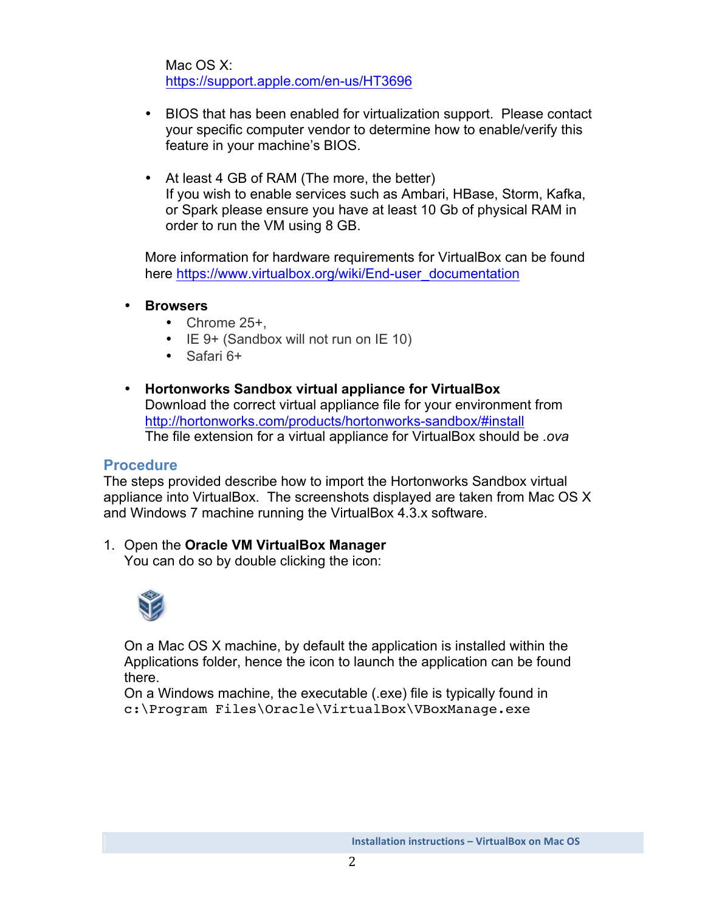Mac OS X: https://support.apple.com/en-us/HT3696

- BIOS that has been enabled for virtualization support. Please contact your specific computer vendor to determine how to enable/verify this feature in your machine's BIOS.
- At least 4 GB of RAM (The more, the better) If you wish to enable services such as Ambari, HBase, Storm, Kafka, or Spark please ensure you have at least 10 Gb of physical RAM in order to run the VM using 8 GB.

More information for hardware requirements for VirtualBox can be found here https://www.virtualbox.org/wiki/End-user\_documentation

- **Browsers** 
	- Chrome 25+,
	- IE 9+ (Sandbox will not run on IE 10)
	- Safari 6+
- **Hortonworks Sandbox virtual appliance for VirtualBox**  Download the correct virtual appliance file for your environment from http://hortonworks.com/products/hortonworks-sandbox/#install The file extension for a virtual appliance for VirtualBox should be *.ova*

## **Procedure**

The steps provided describe how to import the Hortonworks Sandbox virtual appliance into VirtualBox. The screenshots displayed are taken from Mac OS X and Windows 7 machine running the VirtualBox 4.3.x software.

1. Open the **Oracle VM VirtualBox Manager** You can do so by double clicking the icon:



On a Mac OS X machine, by default the application is installed within the Applications folder, hence the icon to launch the application can be found there.

On a Windows machine, the executable (.exe) file is typically found in c:\Program Files\Oracle\VirtualBox\VBoxManage.exe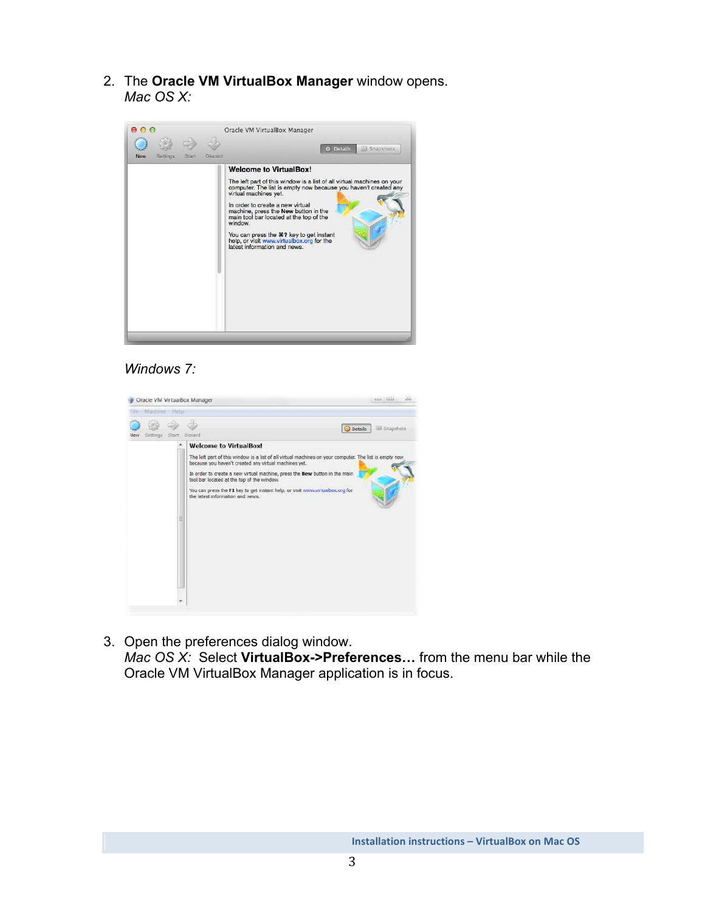2. The **Oracle VM VirtualBox Manager** window opens. *Mac OS X:* 



## *Windows 7:*

| Oracle VM VirtualBox Manager |                                                                                                                                                                                                                                                                                                                                                                                                                                                     | $= 10$                      |
|------------------------------|-----------------------------------------------------------------------------------------------------------------------------------------------------------------------------------------------------------------------------------------------------------------------------------------------------------------------------------------------------------------------------------------------------------------------------------------------------|-----------------------------|
| Machine<br>Help              |                                                                                                                                                                                                                                                                                                                                                                                                                                                     |                             |
| Settings<br>Start<br>New     | Discard                                                                                                                                                                                                                                                                                                                                                                                                                                             | <b>Details</b><br>Snapshots |
| ŝ                            | <b>Welcome to VirtualBox!</b><br>The left part of this window is a list of all virtual machines on your computer. The list is empty now<br>because you haven't created any virtual machines yet.<br>In order to create a new virtual machine, press the New button in the main<br>tool bar located at the top of the window.<br>You can press the F1 key to get instant help, or visit verov.virtualbox.org for<br>the latest information and news. |                             |

3. Open the preferences dialog window. *Mac OS X:* Select **VirtualBox->Preferences…** from the menu bar while the Oracle VM VirtualBox Manager application is in focus.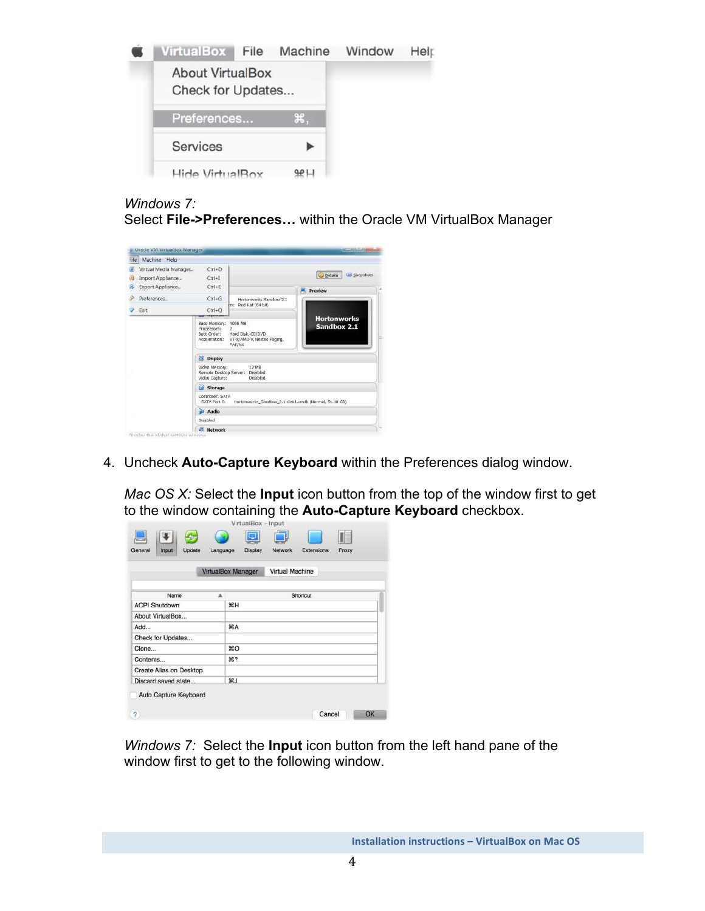

## *Windows 7:*

Select **File->Preferences…** within the Oracle VM VirtualBox Manager

| File                      | Machine<br>Help                                               |                                                                                               |                                                        |                                                  |
|---------------------------|---------------------------------------------------------------|-----------------------------------------------------------------------------------------------|--------------------------------------------------------|--------------------------------------------------|
|                           | Virtual Media Manager<br>Import Appliance<br>Export Appliance | $Ctri + D$<br>$Ctrl+I$<br>$Ctrl + E$                                                          |                                                        | <b>Details</b><br>Liui Snapshots<br>Preview<br>圓 |
| $Ctrl + G$<br>Preferences |                                                               | Hortonworks Sandbox 2.1                                                                       |                                                        |                                                  |
| Exit                      |                                                               | $Ctrl + O$                                                                                    | m: Red Hat (64 bit)                                    |                                                  |
|                           | Base Memory:<br>Processors:<br>Boot Order:<br>Acceleration:   | 4096 MS<br>$\overline{2}$<br>Hard Disk, CD/DVD<br>VT-x/AMD-V, Nested Paging,<br><b>PAE/NX</b> | <b>Hortonworks</b><br>Sandbox 2.1                      |                                                  |
|                           |                                                               | <b>Display</b>                                                                                |                                                        |                                                  |
|                           |                                                               | Video Memory:<br>Video Capture:                                                               | 12 MB<br>Remote Desktop Server: Disabled<br>Disabled   |                                                  |
|                           |                                                               | Storage                                                                                       |                                                        |                                                  |
|                           |                                                               | Controller: SATA<br>SATA Port O:                                                              | Hortomworks_Sandbox_2.1-disk1.vmdk (Normal, 51.10 GB). |                                                  |
|                           |                                                               | Audio                                                                                         |                                                        |                                                  |
|                           |                                                               | Desabled                                                                                      |                                                        |                                                  |
|                           |                                                               | <b>Metwork</b>                                                                                |                                                        |                                                  |

4. Uncheck **Auto-Capture Keyboard** within the Preferences dialog window.

*Mac OS X:* Select the **Input** icon button from the top of the window first to get to the window containing the **Auto-Capture Keyboard** checkbox.

|                         | VirtualBox Manager | <b>Virtual Machine</b> |  |
|-------------------------|--------------------|------------------------|--|
| Name                    | ▲                  | Shortcut               |  |
| <b>ACPI Shutdown</b>    | <b>XH</b>          |                        |  |
| About VirtualBox        |                    |                        |  |
| Add                     | <b>HA</b>          |                        |  |
| Check for Updates       |                    |                        |  |
| Clone                   | ЖO                 |                        |  |
| Contents                | <b>第?</b>          |                        |  |
| Create Alias on Desktop |                    |                        |  |
| Discard saved state.    | $92$ .             |                        |  |

*Windows 7:* Select the **Input** icon button from the left hand pane of the window first to get to the following window.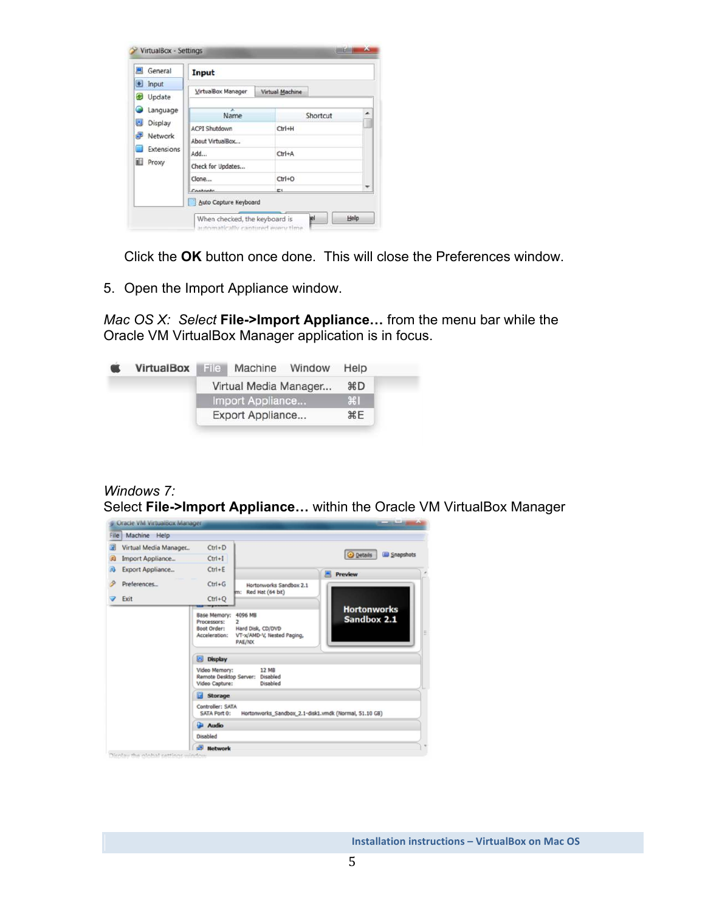| General<br>鳳                              | Input                |                 |          |
|-------------------------------------------|----------------------|-----------------|----------|
| • Input<br>Update<br>c<br>Language        | VirtualBox Manager   | Virtual Machine |          |
|                                           | ×<br>Name            |                 | Shortcut |
| 国<br>Display                              | <b>ACPI Shutdown</b> | Ctrl+H          |          |
| Network<br>Extensions<br><b>III</b> Proxy | About VirtualBox     |                 |          |
|                                           | Add                  | $CtrI+A$        |          |
|                                           | Check for Updates    |                 |          |
|                                           | Clone                | $Ctrl + O$      |          |
|                                           | Contante             | È٤              |          |

Click the **OK** button once done. This will close the Preferences window.

5. Open the Import Appliance window.

*Mac OS X: Select* **File->Import Appliance…** from the menu bar while the Oracle VM VirtualBox Manager application is in focus.



*Windows 7:*  Select **File->Import Appliance…** within the Oracle VM VirtualBox Manager

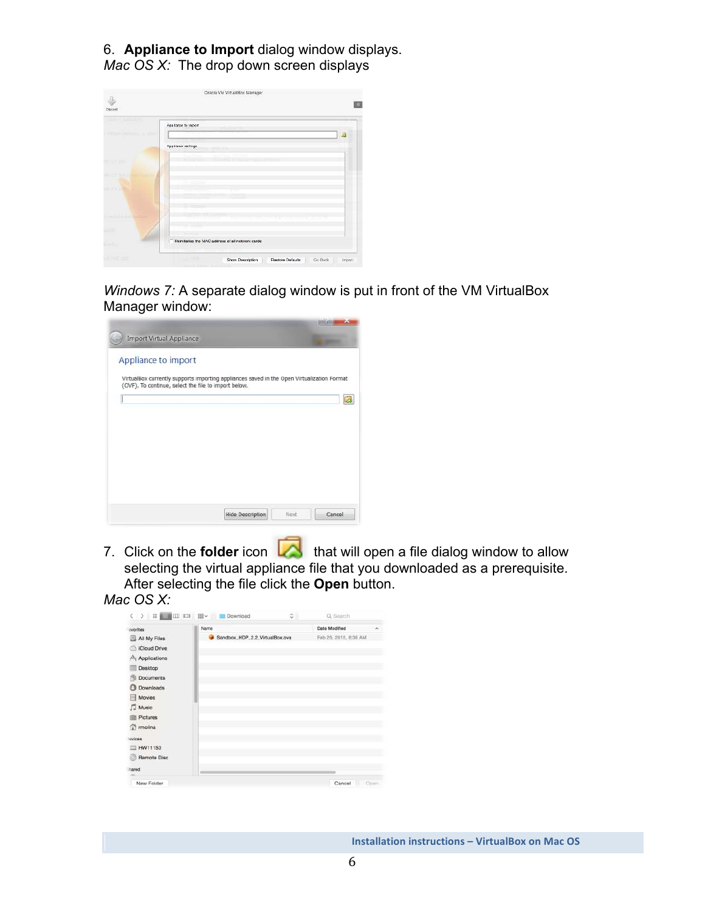6. **Appliance to Import** dialog window displays. *Mac OS X:* The drop down screen displays

|            | App lance to import                               |                         |
|------------|---------------------------------------------------|-------------------------|
|            |                                                   | $\overline{\mathbf{z}}$ |
|            | Applence settings                                 |                         |
| 用 口の部      |                                                   |                         |
|            |                                                   |                         |
| $+ 0.0000$ |                                                   |                         |
|            |                                                   |                         |
|            |                                                   |                         |
|            | Heinitiatize the MAC address of all network cards |                         |

*Windows 7:* A separate dialog window is put in front of the VM VirtualBox Manager window:



7. Click on the **folder** icon **that** that will open a file dialog window to allow selecting the virtual appliance file that you downloaded as a prerequisite. After selecting the file click the **Open** button.

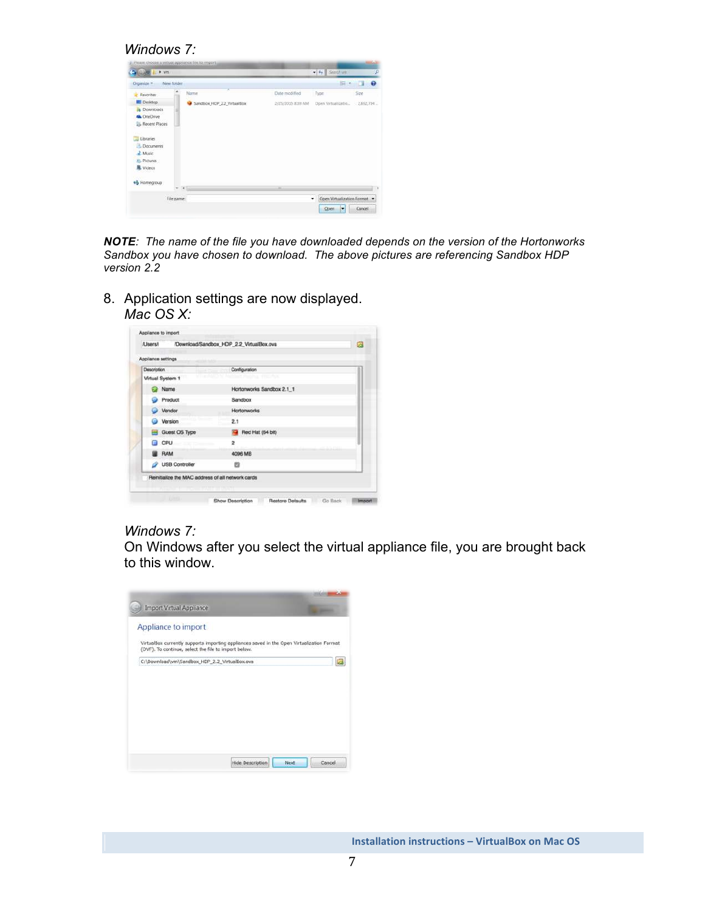*Windows 7:* 

| <b>Lite vm</b>                                                                     |                            |                   | $-4$ , Search was               | æ             |
|------------------------------------------------------------------------------------|----------------------------|-------------------|---------------------------------|---------------|
| New folder<br>Organize -                                                           |                            |                   | 目 • 目                           | $\bullet$     |
| Favorites                                                                          | x<br>Name                  | Date modified     | Type                            | Size          |
| Desktop<br><b>Ja</b> Dawnloads<br><b>GA</b> OneDrive<br>Recent Places<br>Libraries | Sandbox HDP 2.2 VirtualBox | 2/25/2015 8:39 AM | Open Virtualizatio              | $-2.692.704-$ |
| Documents<br>2 Music<br><b>SL Pictures</b><br>Videos                               |                            |                   |                                 |               |
| +3 Hamegroup                                                                       | $+ 41$                     | $\overline{a}$    |                                 |               |
| File pame:                                                                         |                            |                   | Open Virtualization Format<br>٠ |               |
|                                                                                    |                            |                   | Open:<br>lv                     | Cancel        |

*NOTE: The name of the file you have downloaded depends on the version of the Hortonworks Sandbox you have chosen to download. The above pictures are referencing Sandbox HDP version 2.2* 

8. Application settings are now displayed. *Mac OS X:*

| <b>AltarnA</b>                                    | /Download/Sandbox_HDP_2.2_VirtualBox.ova | Ø |
|---------------------------------------------------|------------------------------------------|---|
| Appliance settings                                |                                          |   |
| Description                                       | Configuration                            |   |
| Virtual System 1                                  | that Halina Freing                       |   |
| Name                                              | Hortonworks Sandbox 2.1_1                |   |
| Product                                           | Sandbox                                  |   |
| Vendor                                            | <b>Hortonworks</b>                       |   |
| Version                                           | 2.1                                      |   |
| Guest OS Type                                     | Red Hat (64 bit)                         |   |
| CPU                                               | $\overline{2}$                           |   |
| <b>RAM</b>                                        | 4096 MB                                  |   |
| VSB Controller                                    | 巴                                        |   |
| Reinitialize the MAC address of all network cards |                                          |   |

#### *Windows 7:*

On Windows after you select the virtual appliance file, you are brought back to this window.

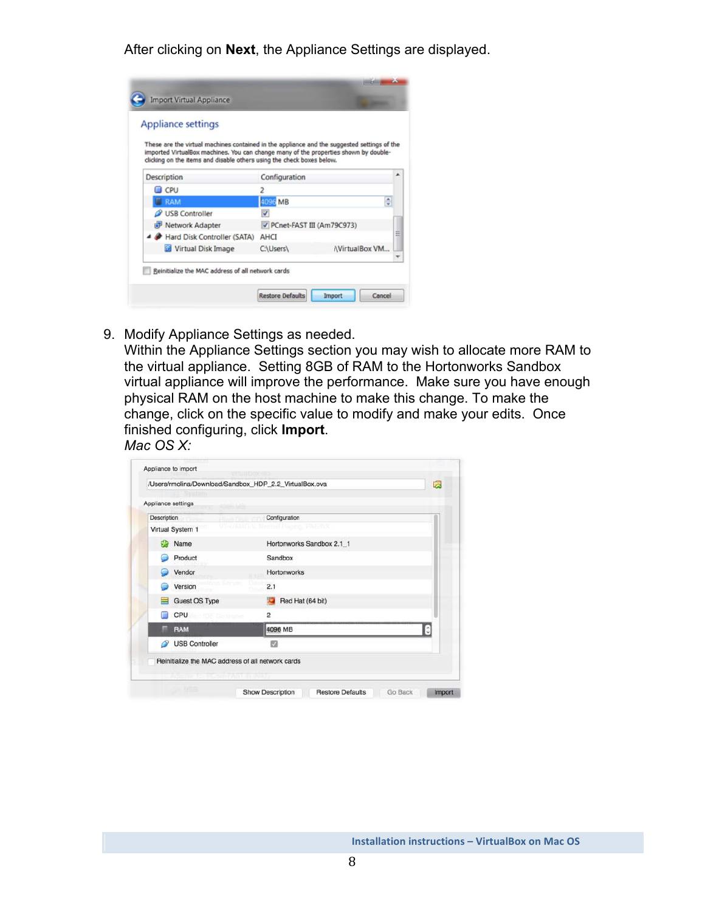After clicking on **Next**, the Appliance Settings are displayed.

| <b>Appliance settings</b>                                                                                                                                                                                                                                    |                           |                      |
|--------------------------------------------------------------------------------------------------------------------------------------------------------------------------------------------------------------------------------------------------------------|---------------------------|----------------------|
| These are the virtual machines contained in the appliance and the suggested settings of the<br>imported VirtualBox machines. You can change many of the properties shown by double-<br>clicking on the items and disable others using the check boxes below. |                           |                      |
| Description                                                                                                                                                                                                                                                  | Configuration             |                      |
| CPU                                                                                                                                                                                                                                                          |                           |                      |
| <b>FIRAM</b>                                                                                                                                                                                                                                                 | 4096 MB                   | ¢                    |
| USB Controller                                                                                                                                                                                                                                               | √                         |                      |
| Network Adapter                                                                                                                                                                                                                                              | PCnet-FAST III (Am79C973) |                      |
| A Hard Disk Controller (SATA)                                                                                                                                                                                                                                | AHCT                      |                      |
| Virtual Disk Image                                                                                                                                                                                                                                           | C:\Users\                 | <b>NirtualBox VM</b> |

9. Modify Appliance Settings as needed.

Within the Appliance Settings section you may wish to allocate more RAM to the virtual appliance. Setting 8GB of RAM to the Hortonworks Sandbox virtual appliance will improve the performance. Make sure you have enough physical RAM on the host machine to make this change. To make the change, click on the specific value to modify and make your edits. Once finished configuring, click **Import**.

*Mac OS X:*

|                    | Appliance settings                       |                                                   |
|--------------------|------------------------------------------|---------------------------------------------------|
| <b>Description</b> | <b>Harry Floor</b>                       | Configuration                                     |
|                    | Virtual System 1                         | 开展示                                               |
|                    | Name                                     | Hortonworks Sandbox 2.1_1                         |
|                    | Product                                  | Sandbox                                           |
|                    | Vendor                                   | Hortonworks                                       |
|                    | Version                                  | 2.1                                               |
|                    | Guest OS Type                            | Red Hat (64 bit)                                  |
|                    | CPU<br><b>CONTROL Project Instrument</b> | $\overline{2}$                                    |
| ۰                  | RAM                                      | 4096 MB<br>C                                      |
| P                  | <b>USB Controller</b>                    | ▩                                                 |
|                    |                                          | Reinitialize the MAC address of all network cards |
|                    |                                          |                                                   |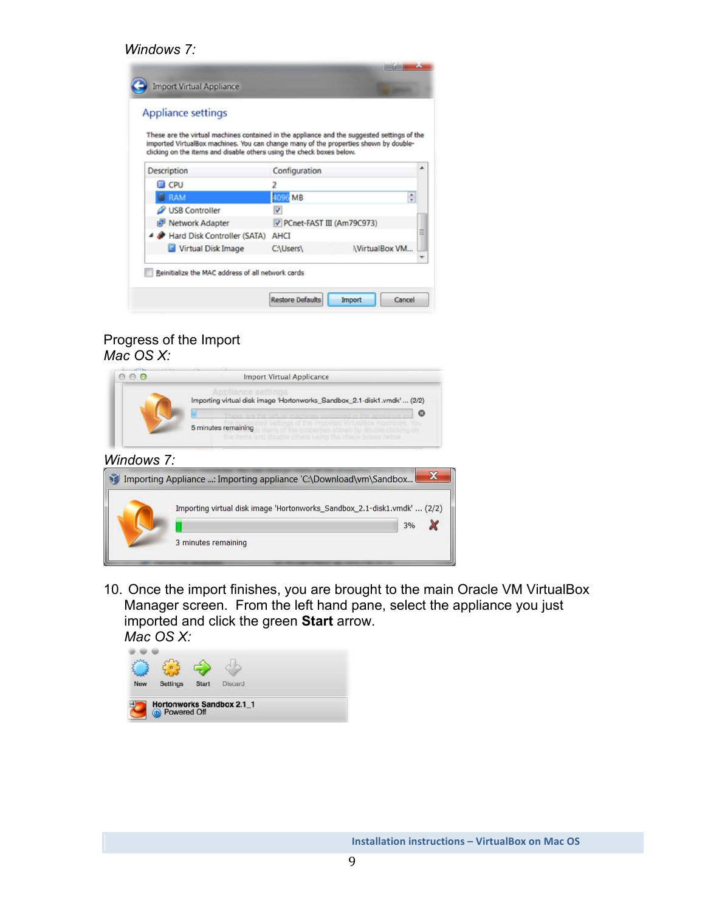#### *Windows 7:*

| <b>Appliance settings</b>                                                                                                                                                           |                           |                      |   |
|-------------------------------------------------------------------------------------------------------------------------------------------------------------------------------------|---------------------------|----------------------|---|
| These are the virtual machines contained in the appliance and the suggested settings of the<br>imported VirtualBox machines. You can change many of the properties shown by double- |                           |                      |   |
| clicking on the items and disable others using the check boxes below.                                                                                                               |                           |                      |   |
| Description                                                                                                                                                                         | Configuration             |                      |   |
| <b>CPU</b>                                                                                                                                                                          | 2                         |                      |   |
| <b>C</b> RAM                                                                                                                                                                        | 4096 MB                   | ٥                    |   |
| USB Controller                                                                                                                                                                      | √                         |                      |   |
| Network Adapter                                                                                                                                                                     | PCnet-FAST III (Am79C973) |                      |   |
| A Hard Disk Controller (SATA)                                                                                                                                                       | AHCT                      |                      | Ξ |
| W Virtual Disk Image                                                                                                                                                                | C:\Users\                 | <b>NirtualBox VM</b> |   |
|                                                                                                                                                                                     |                           |                      |   |

## Progress of the Import *Mac OS X:*

|            | <b>Import Virtual Applicance</b>                                                                                                                                                                                                                                                                                    |
|------------|---------------------------------------------------------------------------------------------------------------------------------------------------------------------------------------------------------------------------------------------------------------------------------------------------------------------|
|            | poliance setting<br>Importing virtual disk image 'Hortonworks_Sandbox_2.1-disk1.vmdk' (2/2)<br>ග<br>Those was the statistic modelings continuous in the ac-<br>of mer Mortings like you are more or<br>5 minutes remaining<br>shown by double-chowns on<br>the items and double differe wind the irbook bower below |
| Windows 7: | Importing Appliance : Importing appliance 'C:\Download\vm\Sandbox                                                                                                                                                                                                                                                   |
|            | Importing virtual disk image 'Hortonworks Sandbox 2.1-disk1.vmdk'  (2/2)<br>3%                                                                                                                                                                                                                                      |
|            | 3 minutes remaining                                                                                                                                                                                                                                                                                                 |

10. Once the import finishes, you are brought to the main Oracle VM VirtualBox Manager screen. From the left hand pane, select the appliance you just imported and click the green **Start** arrow. *Mac OS X:* 

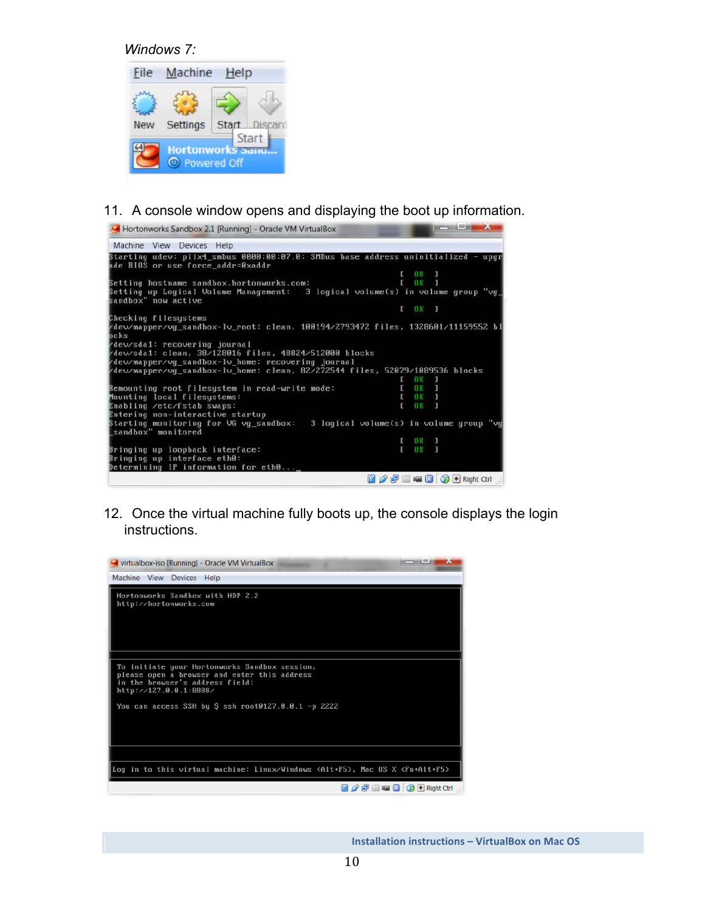*Windows 7:* 



11. A console window opens and displaying the boot up information.



12. Once the virtual machine fully boots up, the console displays the login instructions.

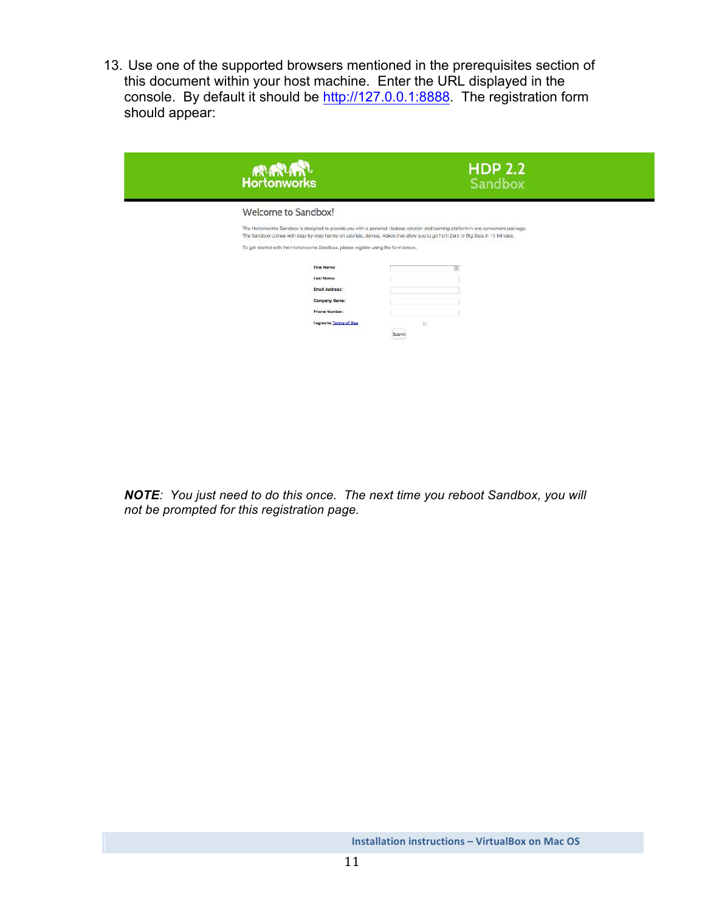13. Use one of the supported browsers mentioned in the prerequisites section of this document within your host machine. Enter the URL displayed in the console. By default it should be http://127.0.0.1:8888. The registration form should appear:

| <b>RURTURY</b>                                                                                                                  | <b>HDP 2.2</b><br><b>Sandbox</b>                                                                                                    |
|---------------------------------------------------------------------------------------------------------------------------------|-------------------------------------------------------------------------------------------------------------------------------------|
| Welcome to Sandbox!                                                                                                             |                                                                                                                                     |
| The Sandbox comes with step-by-step hands-on tutorials, demos, videos that allow you to go from Zero to Big Data in 15 Minutes. | The Hortenwerks Sandbox is designed to provide you with a personal Hadoop solution and learning platform in one convenient package. |
| To get started with the Hortonworks Sandbox, please register using the form below.                                              |                                                                                                                                     |
| First Name:                                                                                                                     | 田                                                                                                                                   |
| Last Name:                                                                                                                      |                                                                                                                                     |
| Email Address:                                                                                                                  |                                                                                                                                     |
| Company Name:                                                                                                                   |                                                                                                                                     |
| Phone Number:                                                                                                                   |                                                                                                                                     |
| <b>Lagree to Terms of Use</b>                                                                                                   | 101                                                                                                                                 |
|                                                                                                                                 | Submit                                                                                                                              |

*NOTE: You just need to do this once. The next time you reboot Sandbox, you will not be prompted for this registration page.*